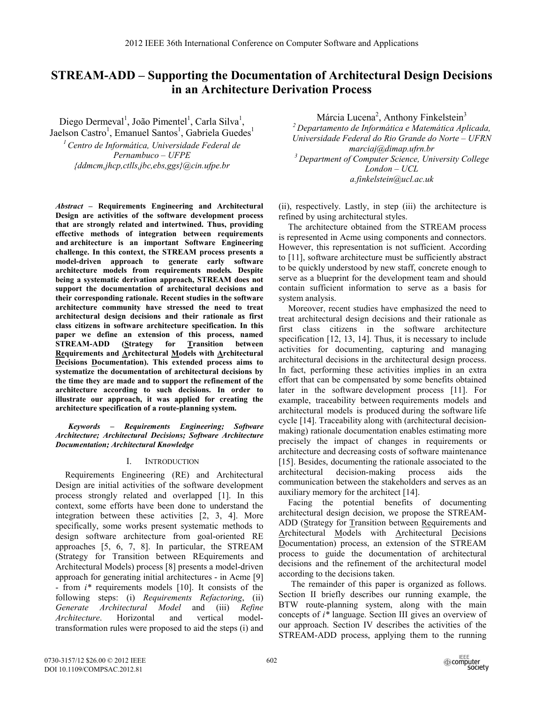# **STREAM-ADD – Supporting the Documentation of Architectural Design Decisions in an Architecture Derivation Process**

Diego Dermeval<sup>1</sup>, João Pimentel<sup>1</sup>, Carla Silva<sup>1</sup>, Jaelson Castro<sup>1</sup>, Emanuel Santos<sup>1</sup>, Gabriela Guedes<sup>1</sup> *1 Centro de Informática, Universidade Federal de Pernambuco – UFPE {ddmcm,jhcp,ctlls,jbc,ebs,ggs}@cin.ufpe.br* 

*Abstract* **– Requirements Engineering and Architectural Design are activities of the software development process that are strongly related and intertwined. Thus, providing effective methods of integration between requirements and architecture is an important Software Engineering challenge. In this context, the STREAM process presents a model-driven approach to generate early software architecture models from requirements models***.* **Despite being a systematic derivation approach, STREAM does not support the documentation of architectural decisions and their corresponding rationale. Recent studies in the software architecture community have stressed the need to treat architectural design decisions and their rationale as first class citizens in software architecture specification. In this paper we define an extension of this process, named STREAM-ADD (Strategy for Transition between Requirements and Architectural Models with Architectural Decisions Documentation). This extended process aims to systematize the documentation of architectural decisions by the time they are made and to support the refinement of the architecture according to such decisions. In order to illustrate our approach, it was applied for creating the architecture specification of a route-planning system.** 

*Keywords – Requirements Engineering; Software Architecture; Architectural Decisions; Software Architecture Documentation; Architectural Knowledge* 

# I. INTRODUCTION

Requirements Engineering (RE) and Architectural Design are initial activities of the software development process strongly related and overlapped [1]. In this context, some efforts have been done to understand the integration between these activities [2, 3, 4]. More specifically, some works present systematic methods to design software architecture from goal-oriented RE approaches [5, 6, 7, 8]. In particular, the STREAM (Strategy for Transition between REquirements and Architectural Models) process [8] presents a model-driven approach for generating initial architectures - in Acme [9] - from *i\** requirements models [10]. It consists of the following steps: (i) *Requirements Refactoring*, (ii) *Generate Architectural Model* and (iii) *Refine Architecture*. Horizontal and vertical modeltransformation rules were proposed to aid the steps (i) and

Márcia Lucena<sup>2</sup>, Anthony Finkelstein<sup>3</sup> *2 Departamento de Informática e Matemática Aplicada, Universidade Federal do Rio Grande do Norte – UFRN marciaj@dimap.ufrn.br 3 Department of Computer Science, University College London – UCL a.finkelstein@ucl.ac.uk* 

(ii), respectively. Lastly, in step (iii) the architecture is refined by using architectural styles.

The architecture obtained from the STREAM process is represented in Acme using components and connectors. However, this representation is not sufficient. According to [11], software architecture must be sufficiently abstract to be quickly understood by new staff, concrete enough to serve as a blueprint for the development team and should contain sufficient information to serve as a basis for system analysis.

Moreover, recent studies have emphasized the need to treat architectural design decisions and their rationale as first class citizens in the software architecture specification [12, 13, 14]. Thus, it is necessary to include activities for documenting, capturing and managing architectural decisions in the architectural design process. In fact, performing these activities implies in an extra effort that can be compensated by some benefits obtained later in the software development process [11]. For example, traceability between requirements models and architectural models is produced during the software life cycle [14]. Traceability along with (architectural decisionmaking) rationale documentation enables estimating more precisely the impact of changes in requirements or architecture and decreasing costs of software maintenance [15]. Besides, documenting the rationale associated to the architectural decision-making process aids the communication between the stakeholders and serves as an auxiliary memory for the architect [14].

Facing the potential benefits of documenting architectural design decision, we propose the STREAM-ADD (Strategy for Transition between Requirements and Architectural Models with Architectural Decisions Documentation) process, an extension of the STREAM process to guide the documentation of architectural decisions and the refinement of the architectural model according to the decisions taken.

The remainder of this paper is organized as follows. Section II briefly describes our running example, the BTW route-planning system, along with the main concepts of *i\** language. Section III gives an overview of our approach. Section IV describes the activities of the STREAM-ADD process, applying them to the running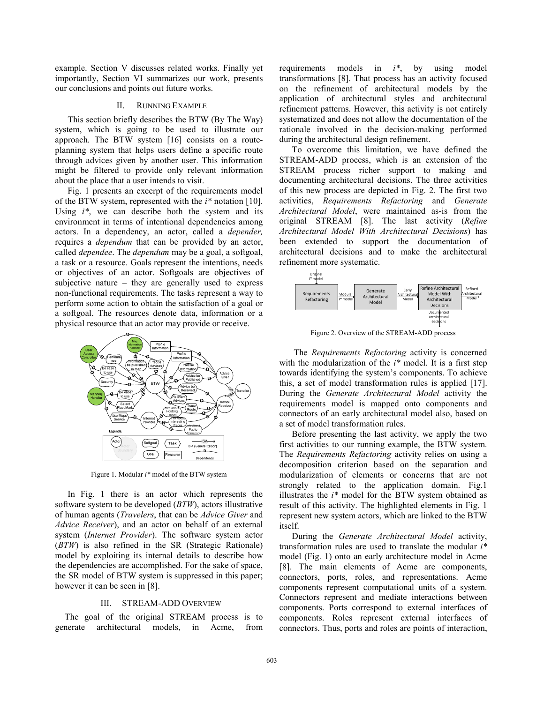example. Section V discusses related works. Finally yet importantly, Section VI summarizes our work, presents our conclusions and points out future works.

#### II. RUNNING EXAMPLE

This section briefly describes the BTW (By The Way) system, which is going to be used to illustrate our approach. The BTW system [16] consists on a routeplanning system that helps users define a specific route through advices given by another user. This information might be filtered to provide only relevant information about the place that a user intends to visit.

Fig. 1 presents an excerpt of the requirements model of the BTW system, represented with the *i\** notation [10]. Using *i\**, we can describe both the system and its environment in terms of intentional dependencies among actors. In a dependency, an actor, called a *depender,* requires a *dependum* that can be provided by an actor, called *dependee*. The *dependum* may be a goal, a softgoal, a task or a resource. Goals represent the intentions, needs or objectives of an actor. Softgoals are objectives of subjective nature – they are generally used to express non-functional requirements. The tasks represent a way to perform some action to obtain the satisfaction of a goal or a softgoal. The resources denote data, information or a physical resource that an actor may provide or receive.



Figure 1. Modular *i\** model of the BTW system

In Fig. 1 there is an actor which represents the software system to be developed (*BTW*), actors illustrative of human agents (*Travelers*, that can be *Advice Giver* and *Advice Receiver*), and an actor on behalf of an external system (*Internet Provider*). The software system actor (*BTW*) is also refined in the SR (Strategic Rationale) model by exploiting its internal details to describe how the dependencies are accomplished. For the sake of space, the SR model of BTW system is suppressed in this paper; however it can be seen in [8].

#### III. STREAM-ADD OVERVIEW

The goal of the original STREAM process is to generate architectural models, in Acme, from requirements models in *i\**, by using model transformations [8]. That process has an activity focused on the refinement of architectural models by the application of architectural styles and architectural refinement patterns. However, this activity is not entirely systematized and does not allow the documentation of the rationale involved in the decision-making performed during the architectural design refinement.

To overcome this limitation, we have defined the STREAM-ADD process, which is an extension of the STREAM process richer support to making and documenting architectural decisions. The three activities of this new process are depicted in Fig. 2. The first two activities, *Requirements Refactoring* and *Generate Architectural Model*, were maintained as-is from the original STREAM [8]. The last activity (*Refine Architectural Model With Architectural Decisions*) has been extended to support the documentation of architectural decisions and to make the architectural refinement more systematic.



Figure 2. Overview of the STREAM-ADD process

The *Requirements Refactoring* activity is concerned with the modularization of the *i\** model. It is a first step towards identifying the system's components. To achieve this, a set of model transformation rules is applied [17]. During the *Generate Architectural Model* activity the requirements model is mapped onto components and connectors of an early architectural model also, based on a set of model transformation rules.

Before presenting the last activity, we apply the two first activities to our running example, the BTW system. The *Requirements Refactoring* activity relies on using a decomposition criterion based on the separation and modularization of elements or concerns that are not strongly related to the application domain. Fig.1 illustrates the *i\** model for the BTW system obtained as result of this activity. The highlighted elements in Fig. 1 represent new system actors, which are linked to the BTW itself.

During the *Generate Architectural Model* activity, transformation rules are used to translate the modular *i\** model (Fig. 1) onto an early architecture model in Acme [8]. The main elements of Acme are components, connectors, ports, roles, and representations. Acme components represent computational units of a system. Connectors represent and mediate interactions between components. Ports correspond to external interfaces of components. Roles represent external interfaces of connectors. Thus, ports and roles are points of interaction,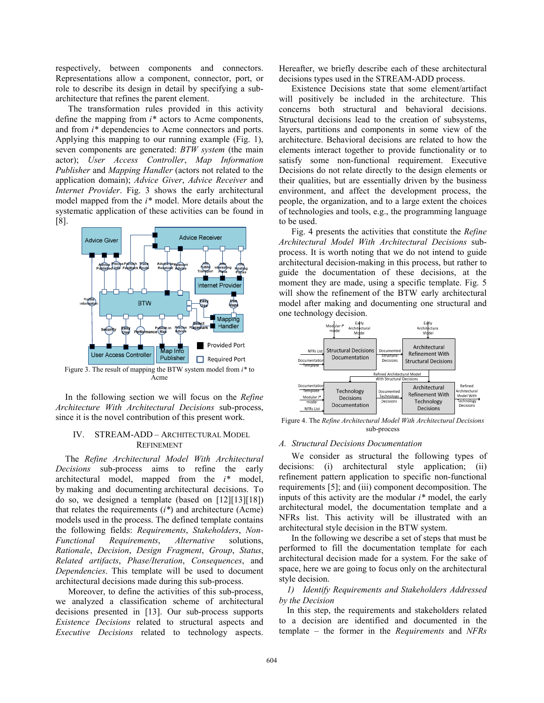respectively, between components and connectors. Representations allow a component, connector, port, or role to describe its design in detail by specifying a subarchitecture that refines the parent element.

The transformation rules provided in this activity define the mapping from *i\** actors to Acme components, and from *i\** dependencies to Acme connectors and ports. Applying this mapping to our running example (Fig. 1), seven components are generated: *BTW system* (the main actor); *User Access Controller*, *Map Information Publisher* and *Mapping Handler* (actors not related to the application domain); *Advice Giver*, *Advice Receiver* and *Internet Provider*. Fig. 3 shows the early architectural model mapped from the *i\** model. More details about the systematic application of these activities can be found in [8].



Acme

In the following section we will focus on the *Refine Architecture With Architectural Decisions* sub-process, since it is the novel contribution of this present work.

## IV. STREAM-ADD – ARCHITECTURAL MODEL REFINEMENT

The *Refine Architectural Model With Architectural Decisions* sub-process aims to refine the early architectural model, mapped from the *i\** model, by making and documenting architectural decisions. To do so, we designed a template (based on [12][13][18]) that relates the requirements (*i\**) and architecture (Acme) models used in the process. The defined template contains the following fields: *Requirements*, *Stakeholders*, *Non-Functional Requirements*, *Alternative* solutions, *Rationale*, *Decision*, *Design Fragment*, *Group*, *Status*, *Related artifacts*, *Phase/Iteration*, *Consequences*, and *Dependencies*. This template will be used to document architectural decisions made during this sub-process.

Moreover, to define the activities of this sub-process, we analyzed a classification scheme of architectural decisions presented in [13]. Our sub-process supports *Existence Decisions* related to structural aspects and *Executive Decisions* related to technology aspects.

Hereafter, we briefly describe each of these architectural decisions types used in the STREAM-ADD process.

Existence Decisions state that some element/artifact will positively be included in the architecture. This concerns both structural and behavioral decisions. Structural decisions lead to the creation of subsystems, layers, partitions and components in some view of the architecture. Behavioral decisions are related to how the elements interact together to provide functionality or to satisfy some non-functional requirement. Executive Decisions do not relate directly to the design elements or their qualities, but are essentially driven by the business environment, and affect the development process, the people, the organization, and to a large extent the choices of technologies and tools, e.g., the programming language to be used.

Fig. 4 presents the activities that constitute the *Refine Architectural Model With Architectural Decisions* subprocess. It is worth noting that we do not intend to guide architectural decision-making in this process, but rather to guide the documentation of these decisions, at the moment they are made, using a specific template. Fig. 5 will show the refinement of the BTW early architectural model after making and documenting one structural and one technology decision.



Figure 4. The *Refine Architectural Model With Architectural Decisions* sub-process

#### *A. Structural Decisions Documentation*

We consider as structural the following types of decisions: (i) architectural style application; (ii) refinement pattern application to specific non-functional requirements [5]; and (iii) component decomposition. The inputs of this activity are the modular *i\** model, the early architectural model, the documentation template and a NFRs list. This activity will be illustrated with an architectural style decision in the BTW system.

In the following we describe a set of steps that must be performed to fill the documentation template for each architectural decision made for a system. For the sake of space, here we are going to focus only on the architectural style decision.

*1) Identify Requirements and Stakeholders Addressed by the Decision* 

In this step, the requirements and stakeholders related to a decision are identified and documented in the template – the former in the *Requirements* and *NFRs*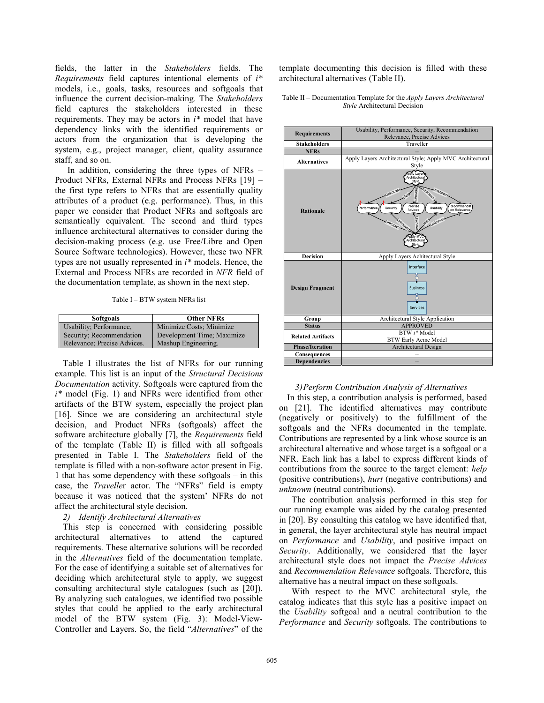fields, the latter in the *Stakeholders* fields. The *Requirements* field captures intentional elements of *i\** models, i.e., goals, tasks, resources and softgoals that influence the current decision-making*.* The *Stakeholders* field captures the stakeholders interested in these requirements. They may be actors in *i\** model that have dependency links with the identified requirements or actors from the organization that is developing the system, e.g., project manager, client, quality assurance staff, and so on.

In addition, considering the three types of NFRs – Product NFRs, External NFRs and Process NFRs [19] – the first type refers to NFRs that are essentially quality attributes of a product (e.g. performance). Thus, in this paper we consider that Product NFRs and softgoals are semantically equivalent. The second and third types influence architectural alternatives to consider during the decision-making process (e.g. use Free/Libre and Open Source Software technologies). However, these two NFR types are not usually represented in *i\** models. Hence, the External and Process NFRs are recorded in *NFR* field of the documentation template, as shown in the next step.

Table I – BTW system NFRs list

| <b>Softgoals</b>            | <b>Other NFRs</b>          |
|-----------------------------|----------------------------|
| Usability; Performance,     | Minimize Costs; Minimize   |
| Security; Recommendation    | Development Time; Maximize |
| Relevance; Precise Advices. | Mashup Engineering.        |

Table I illustrates the list of NFRs for our running example. This list is an input of the *Structural Decisions Documentation* activity. Softgoals were captured from the *i\** model (Fig. 1) and NFRs were identified from other artifacts of the BTW system, especially the project plan [16]. Since we are considering an architectural style decision, and Product NFRs (softgoals) affect the software architecture globally [7], the *Requirements* field of the template (Table II) is filled with all softgoals presented in Table I. The *Stakeholders* field of the template is filled with a non-software actor present in Fig. 1 that has some dependency with these softgoals – in this case, the *Travelle*r actor. The "NFRs" field is empty because it was noticed that the system' NFRs do not affect the architectural style decision.

#### *2) Identify Architectural Alternatives*

This step is concerned with considering possible architectural alternatives to attend the captured requirements. These alternative solutions will be recorded in the *Alternatives* field of the documentation template. For the case of identifying a suitable set of alternatives for deciding which architectural style to apply, we suggest consulting architectural style catalogues (such as [20]). By analyzing such catalogues, we identified two possible styles that could be applied to the early architectural model of the BTW system (Fig. 3): Model-View-Controller and Layers. So, the field "*Alternatives*" of the

template documenting this decision is filled with these architectural alternatives (Table II).

Table II – Documentation Template for the *Apply Layers Architectural Style* Architectural Decision



#### *3)Perform Contribution Analysis of Alternatives*

In this step, a contribution analysis is performed, based on [21]. The identified alternatives may contribute (negatively or positively) to the fulfillment of the softgoals and the NFRs documented in the template. Contributions are represented by a link whose source is an architectural alternative and whose target is a softgoal or a NFR. Each link has a label to express different kinds of contributions from the source to the target element: *help* (positive contributions), *hurt* (negative contributions) and *unknown* (neutral contributions).

The contribution analysis performed in this step for our running example was aided by the catalog presented in [20]. By consulting this catalog we have identified that, in general, the layer architectural style has neutral impact on *Performance* and *Usability*, and positive impact on *Security*. Additionally, we considered that the layer architectural style does not impact the *Precise Advices* and *Recommendation Relevance* softgoals. Therefore, this alternative has a neutral impact on these softgoals.

With respect to the MVC architectural style, the catalog indicates that this style has a positive impact on the *Usability* softgoal and a neutral contribution to the *Performance* and *Security* softgoals. The contributions to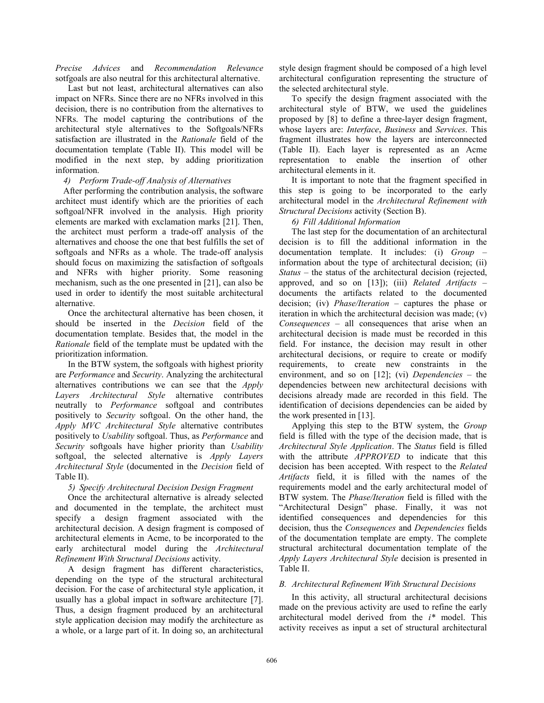*Precise Advices* and *Recommendation Relevance* sotfgoals are also neutral for this architectural alternative.

Last but not least, architectural alternatives can also impact on NFRs. Since there are no NFRs involved in this decision, there is no contribution from the alternatives to NFRs. The model capturing the contributions of the architectural style alternatives to the Softgoals/NFRs satisfaction are illustrated in the *Rationale* field of the documentation template (Table II). This model will be modified in the next step, by adding prioritization information.

## *4) Perform Trade-off Analysis of Alternatives*

After performing the contribution analysis, the software architect must identify which are the priorities of each softgoal/NFR involved in the analysis. High priority elements are marked with exclamation marks [21]. Then, the architect must perform a trade-off analysis of the alternatives and choose the one that best fulfills the set of softgoals and NFRs as a whole. The trade-off analysis should focus on maximizing the satisfaction of softgoals and NFRs with higher priority. Some reasoning mechanism, such as the one presented in [21], can also be used in order to identify the most suitable architectural alternative.

Once the architectural alternative has been chosen, it should be inserted in the *Decision* field of the documentation template. Besides that, the model in the *Rationale* field of the template must be updated with the prioritization information.

In the BTW system, the softgoals with highest priority are *Performance* and *Security*. Analyzing the architectural alternatives contributions we can see that the *Apply Layers Architectural Style* alternative contributes neutrally to *Performance* softgoal and contributes positively to *Security* softgoal. On the other hand, the *Apply MVC Architectural Style* alternative contributes positively to *Usability* softgoal. Thus, as *Performance* and *Security* softgoals have higher priority than *Usability* softgoal, the selected alternative is *Apply Layers Architectural Style* (documented in the *Decision* field of Table II).

# *5) Specify Architectural Decision Design Fragment*

Once the architectural alternative is already selected and documented in the template, the architect must specify a design fragment associated with the architectural decision. A design fragment is composed of architectural elements in Acme, to be incorporated to the early architectural model during the *Architectural Refinement With Structural Decisions* activity.

A design fragment has different characteristics, depending on the type of the structural architectural decision. For the case of architectural style application, it usually has a global impact in software architecture [7]. Thus, a design fragment produced by an architectural style application decision may modify the architecture as a whole, or a large part of it. In doing so, an architectural style design fragment should be composed of a high level architectural configuration representing the structure of the selected architectural style.

To specify the design fragment associated with the architectural style of BTW, we used the guidelines proposed by [8] to define a three-layer design fragment, whose layers are: *Interface*, *Business* and *Services*. This fragment illustrates how the layers are interconnected (Table II). Each layer is represented as an Acme representation to enable the insertion of other architectural elements in it.

It is important to note that the fragment specified in this step is going to be incorporated to the early architectural model in the *Architectural Refinement with Structural Decisions* activity (Section B).

*6) Fill Additional Information* 

The last step for the documentation of an architectural decision is to fill the additional information in the documentation template. It includes: (i) *Group* – information about the type of architectural decision; (ii) *Status* – the status of the architectural decision (rejected, approved, and so on [13]); (iii) *Related Artifacts* – documents the artifacts related to the documented decision; (iv) *Phase/Iteration* – captures the phase or iteration in which the architectural decision was made; (v) *Consequences* – all consequences that arise when an architectural decision is made must be recorded in this field. For instance, the decision may result in other architectural decisions, or require to create or modify requirements, to create new constraints in the environment, and so on [12]; (vi) *Dependencies* – the dependencies between new architectural decisions with decisions already made are recorded in this field. The identification of decisions dependencies can be aided by the work presented in [13].

Applying this step to the BTW system, the *Group* field is filled with the type of the decision made, that is *Architectural Style Application*. The *Status* field is filled with the attribute *APPROVED* to indicate that this decision has been accepted. With respect to the *Related Artifacts* field, it is filled with the names of the requirements model and the early architectural model of BTW system. The *Phase/Iteration* field is filled with the "Architectural Design" phase. Finally, it was not identified consequences and dependencies for this decision, thus the *Consequences* and *Dependencies* fields of the documentation template are empty. The complete structural architectural documentation template of the *Apply Layers Architectural Style* decision is presented in Table II.

# *B. Architectural Refinement With Structural Decisions*

In this activity, all structural architectural decisions made on the previous activity are used to refine the early architectural model derived from the *i\** model. This activity receives as input a set of structural architectural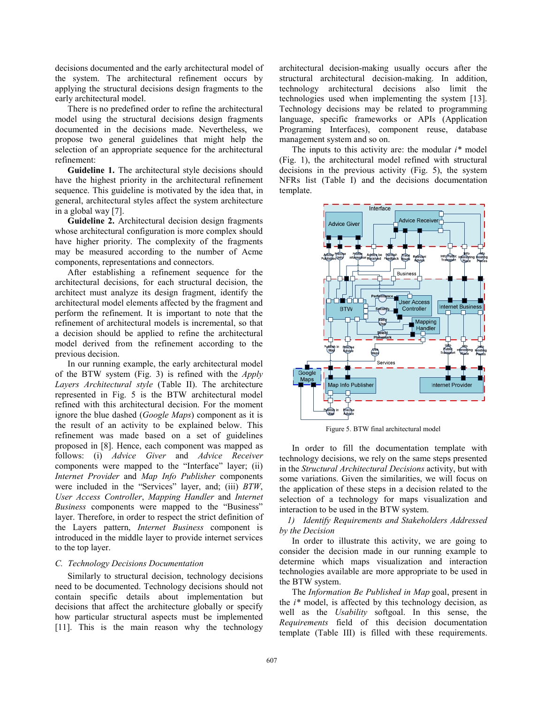decisions documented and the early architectural model of the system. The architectural refinement occurs by applying the structural decisions design fragments to the early architectural model.

There is no predefined order to refine the architectural model using the structural decisions design fragments documented in the decisions made. Nevertheless, we propose two general guidelines that might help the selection of an appropriate sequence for the architectural refinement:

Guideline 1. The architectural style decisions should have the highest priority in the architectural refinement sequence. This guideline is motivated by the idea that, in general, architectural styles affect the system architecture in a global way [7].

**Guideline 2.** Architectural decision design fragments whose architectural configuration is more complex should have higher priority. The complexity of the fragments may be measured according to the number of Acme components, representations and connectors.

After establishing a refinement sequence for the architectural decisions, for each structural decision, the architect must analyze its design fragment, identify the architectural model elements affected by the fragment and perform the refinement. It is important to note that the refinement of architectural models is incremental, so that a decision should be applied to refine the architectural model derived from the refinement according to the previous decision.

In our running example, the early architectural model of the BTW system (Fig. 3) is refined with the *Apply Layers Architectural style* (Table II). The architecture represented in Fig. 5 is the BTW architectural model refined with this architectural decision. For the moment ignore the blue dashed (*Google Maps*) component as it is the result of an activity to be explained below. This refinement was made based on a set of guidelines proposed in [8]. Hence, each component was mapped as follows: (i) *Advice Giver* and *Advice Receiver* components were mapped to the "Interface" layer; (ii) *Internet Provider* and *Map Info Publisher* components were included in the "Services" layer, and; (iii) *BTW*, *User Access Controller*, *Mapping Handler* and *Internet Business* components were mapped to the "Business" layer. Therefore, in order to respect the strict definition of the Layers pattern, *Internet Business* component is introduced in the middle layer to provide internet services to the top layer.

#### *C. Technology Decisions Documentation*

Similarly to structural decision, technology decisions need to be documented. Technology decisions should not contain specific details about implementation but decisions that affect the architecture globally or specify how particular structural aspects must be implemented [11]. This is the main reason why the technology

architectural decision-making usually occurs after the structural architectural decision-making. In addition, technology architectural decisions also limit the technologies used when implementing the system [13]. Technology decisions may be related to programming language, specific frameworks or APIs (Application Programing Interfaces), component reuse, database management system and so on.

The inputs to this activity are: the modular *i\** model (Fig. 1), the architectural model refined with structural decisions in the previous activity (Fig. 5), the system NFRs list (Table I) and the decisions documentation template.



Figure 5. BTW final architectural model

In order to fill the documentation template with technology decisions, we rely on the same steps presented in the *Structural Architectural Decisions* activity, but with some variations. Given the similarities, we will focus on the application of these steps in a decision related to the selection of a technology for maps visualization and interaction to be used in the BTW system.

*1) Identify Requirements and Stakeholders Addressed by the Decision* 

In order to illustrate this activity, we are going to consider the decision made in our running example to determine which maps visualization and interaction technologies available are more appropriate to be used in the BTW system.

The *Information Be Published in Map* goal, present in the *i\** model, is affected by this technology decision, as well as the *Usability* softgoal. In this sense, the *Requirements* field of this decision documentation template (Table III) is filled with these requirements.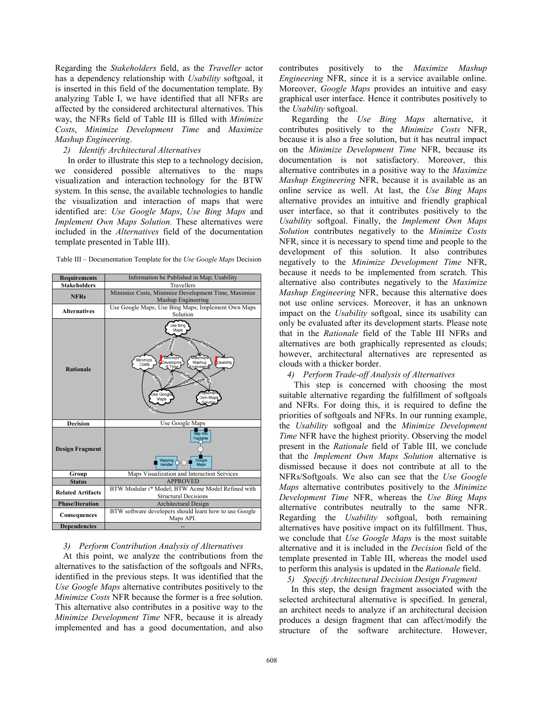Regarding the *Stakeholders* field, as the *Traveller* actor has a dependency relationship with *Usability* softgoal, it is inserted in this field of the documentation template. By analyzing Table I, we have identified that all NFRs are affected by the considered architectural alternatives. This way, the NFRs field of Table III is filled with *Minimize Costs*, *Minimize Development Time* and *Maximize Mashup Engineering*.

## *2) Identify Architectural Alternatives*

In order to illustrate this step to a technology decision, we considered possible alternatives to the maps visualization and interaction technology for the BTW system. In this sense, the available technologies to handle the visualization and interaction of maps that were identified are: *Use Google Maps*, *Use Bing Maps* and *Implement Own Maps Solution.* These alternatives were included in the *Alternatives* field of the documentation template presented in Table III).

| <b>Requirements</b>      | Information be Published in Map; Usability                                                                                                                                                                                                          |
|--------------------------|-----------------------------------------------------------------------------------------------------------------------------------------------------------------------------------------------------------------------------------------------------|
| <b>Stakeholders</b>      | <b>Travellers</b>                                                                                                                                                                                                                                   |
| <b>NFRs</b>              | Minimize Costs, Minimize Development Time, Maximize                                                                                                                                                                                                 |
|                          | Mashup Engineering                                                                                                                                                                                                                                  |
| <b>Alternatives</b>      | Use Google Maps; Use Bing Maps; Implement Own Maps                                                                                                                                                                                                  |
|                          | Solution                                                                                                                                                                                                                                            |
| <b>Rationale</b>         | Use Bing<br>Maps<br><b>Aelp</b><br>Unknoy<br>Yelp.<br>Help<br>Mnimize<br>Maximiz<br>Minimize<br>Mashup<br>Usability<br>Developme<br>Costs<br>nt Time<br>Engineering<br>Jelp<br>mplemen<br>Use Google<br>Own Maps<br>Maps<br>Solution<br><b>Hurt</b> |
| <b>Decision</b>          | Use Google Maps                                                                                                                                                                                                                                     |
| <b>Design Fragment</b>   | Map Info<br>Publisher<br>Google<br>Mapping<br>Handler<br>Maps                                                                                                                                                                                       |
| Group                    | Maps Visualization and Interaction Services                                                                                                                                                                                                         |
| <b>Status</b>            | <b>APPROVED</b>                                                                                                                                                                                                                                     |
| <b>Related Artifacts</b> | BTW Modular i* Model; BTW Acme Model Refined with<br><b>Structural Decisions</b>                                                                                                                                                                    |
| <b>Phase/Iteration</b>   | <b>Architectural Design</b>                                                                                                                                                                                                                         |
| Consequences             | BTW software developers should learn how to use Google<br>Maps API.                                                                                                                                                                                 |
| <b>Dependencies</b>      |                                                                                                                                                                                                                                                     |

Table III – Documentation Template for the *Use Google Maps* Decision

# *3) Perform Contribution Analysis of Alternatives*

At this point, we analyze the contributions from the alternatives to the satisfaction of the softgoals and NFRs, identified in the previous steps. It was identified that the *Use Google Maps* alternative contributes positively to the *Minimize Costs* NFR because the former is a free solution. This alternative also contributes in a positive way to the *Minimize Development Time* NFR, because it is already implemented and has a good documentation, and also

contributes positively to the *Maximize Mashup Engineering* NFR, since it is a service available online. Moreover, *Google Maps* provides an intuitive and easy graphical user interface. Hence it contributes positively to the *Usability* softgoal.

Regarding the *Use Bing Maps* alternative, it contributes positively to the *Minimize Costs* NFR, because it is also a free solution, but it has neutral impact on the *Minimize Development Time* NFR, because its documentation is not satisfactory. Moreover, this alternative contributes in a positive way to the *Maximize Mashup Engineering* NFR, because it is available as an online service as well. At last, the *Use Bing Maps* alternative provides an intuitive and friendly graphical user interface, so that it contributes positively to the *Usability* softgoal. Finally, the *Implement Own Maps Solution* contributes negatively to the *Minimize Costs* NFR, since it is necessary to spend time and people to the development of this solution. It also contributes negatively to the *Minimize Development Time* NFR, because it needs to be implemented from scratch. This alternative also contributes negatively to the *Maximize Mashup Engineering* NFR, because this alternative does not use online services. Moreover, it has an unknown impact on the *Usability* softgoal, since its usability can only be evaluated after its development starts. Please note that in the *Rationale* field of the Table III NFRs and alternatives are both graphically represented as clouds; however, architectural alternatives are represented as clouds with a thicker border.

# *4) Perform Trade-off Analysis of Alternatives*

 This step is concerned with choosing the most suitable alternative regarding the fulfillment of softgoals and NFRs. For doing this, it is required to define the priorities of softgoals and NFRs. In our running example, the *Usability* softgoal and the *Minimize Development Time* NFR have the highest priority. Observing the model present in the *Rationale* field of Table III, we conclude that the *Implement Own Maps Solution* alternative is dismissed because it does not contribute at all to the NFRs/Softgoals. We also can see that the *Use Google Maps* alternative contributes positively to the *Minimize Development Time* NFR, whereas the *Use Bing Maps* alternative contributes neutrally to the same NFR. Regarding the *Usability* softgoal, both remaining alternatives have positive impact on its fulfillment. Thus, we conclude that *Use Google Maps* is the most suitable alternative and it is included in the *Decision* field of the template presented in Table III, whereas the model used to perform this analysis is updated in the *Rationale* field.

# *5) Specify Architectural Decision Design Fragment*

In this step, the design fragment associated with the selected architectural alternative is specified. In general, an architect needs to analyze if an architectural decision produces a design fragment that can affect/modify the structure of the software architecture. However,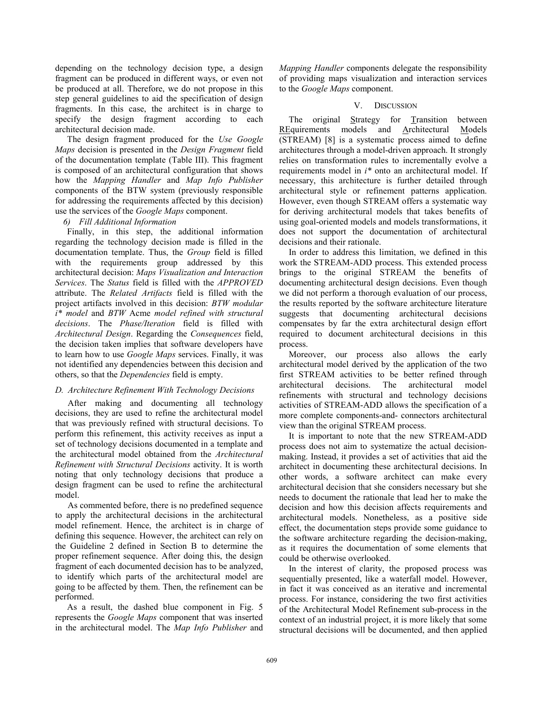depending on the technology decision type, a design fragment can be produced in different ways, or even not be produced at all. Therefore, we do not propose in this step general guidelines to aid the specification of design fragments. In this case, the architect is in charge to specify the design fragment according to each architectural decision made.

The design fragment produced for the *Use Google Maps* decision is presented in the *Design Fragment* field of the documentation template (Table III). This fragment is composed of an architectural configuration that shows how the *Mapping Handler* and *Map Info Publisher* components of the BTW system (previously responsible for addressing the requirements affected by this decision) use the services of the *Google Maps* component.

#### *6) Fill Additional Information*

Finally, in this step, the additional information regarding the technology decision made is filled in the documentation template. Thus, the *Group* field is filled with the requirements group addressed by this architectural decision: *Maps Visualization and Interaction Services*. The *Status* field is filled with the *APPROVED* attribute. The *Related Artifacts* field is filled with the project artifacts involved in this decision: *BTW modular i\* model* and *BTW* Acme *model refined with structural decisions*. The *Phase/Iteration* field is filled with *Architectural Design*. Regarding the *Consequences* field, the decision taken implies that software developers have to learn how to use *Google Maps* services. Finally, it was not identified any dependencies between this decision and others, so that the *Dependencies* field is empty.

## *D. Architecture Refinement With Technology Decisions*

After making and documenting all technology decisions, they are used to refine the architectural model that was previously refined with structural decisions. To perform this refinement, this activity receives as input a set of technology decisions documented in a template and the architectural model obtained from the *Architectural Refinement with Structural Decisions* activity. It is worth noting that only technology decisions that produce a design fragment can be used to refine the architectural model.

As commented before, there is no predefined sequence to apply the architectural decisions in the architectural model refinement. Hence, the architect is in charge of defining this sequence. However, the architect can rely on the Guideline 2 defined in Section B to determine the proper refinement sequence. After doing this, the design fragment of each documented decision has to be analyzed, to identify which parts of the architectural model are going to be affected by them. Then, the refinement can be performed.

As a result, the dashed blue component in Fig. 5 represents the *Google Maps* component that was inserted in the architectural model. The *Map Info Publisher* and

*Mapping Handler* components delegate the responsibility of providing maps visualization and interaction services to the *Google Maps* component.

## V. DISCUSSION

The original Strategy for Transition between REquirements models and Architectural Models (STREAM) [8] is a systematic process aimed to define architectures through a model-driven approach. It strongly relies on transformation rules to incrementally evolve a requirements model in *i\** onto an architectural model. If necessary, this architecture is further detailed through architectural style or refinement patterns application. However, even though STREAM offers a systematic way for deriving architectural models that takes benefits of using goal-oriented models and models transformations, it does not support the documentation of architectural decisions and their rationale.

In order to address this limitation, we defined in this work the STREAM-ADD process. This extended process brings to the original STREAM the benefits of documenting architectural design decisions. Even though we did not perform a thorough evaluation of our process, the results reported by the software architecture literature suggests that documenting architectural decisions compensates by far the extra architectural design effort required to document architectural decisions in this process.

Moreover, our process also allows the early architectural model derived by the application of the two first STREAM activities to be better refined through architectural decisions. The architectural model refinements with structural and technology decisions activities of STREAM-ADD allows the specification of a more complete components-and- connectors architectural view than the original STREAM process.

It is important to note that the new STREAM-ADD process does not aim to systematize the actual decisionmaking. Instead, it provides a set of activities that aid the architect in documenting these architectural decisions. In other words, a software architect can make every architectural decision that she considers necessary but she needs to document the rationale that lead her to make the decision and how this decision affects requirements and architectural models. Nonetheless, as a positive side effect, the documentation steps provide some guidance to the software architecture regarding the decision-making, as it requires the documentation of some elements that could be otherwise overlooked.

In the interest of clarity, the proposed process was sequentially presented, like a waterfall model. However, in fact it was conceived as an iterative and incremental process. For instance, considering the two first activities of the Architectural Model Refinement sub-process in the context of an industrial project, it is more likely that some structural decisions will be documented, and then applied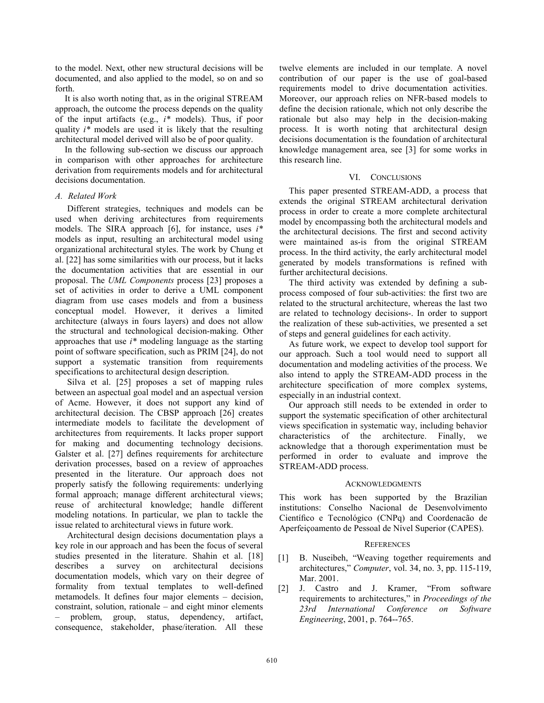to the model. Next, other new structural decisions will be documented, and also applied to the model, so on and so forth.

It is also worth noting that, as in the original STREAM approach, the outcome the process depends on the quality of the input artifacts (e.g., *i\** models). Thus, if poor quality *i\** models are used it is likely that the resulting architectural model derived will also be of poor quality.

In the following sub-section we discuss our approach in comparison with other approaches for architecture derivation from requirements models and for architectural decisions documentation.

## *A. Related Work*

Different strategies, techniques and models can be used when deriving architectures from requirements models. The SIRA approach [6], for instance, uses *i\** models as input, resulting an architectural model using organizational architectural styles. The work by Chung et al. [22] has some similarities with our process, but it lacks the documentation activities that are essential in our proposal. The *UML Components* process [23] proposes a set of activities in order to derive a UML component diagram from use cases models and from a business conceptual model. However, it derives a limited architecture (always in fours layers) and does not allow the structural and technological decision-making. Other approaches that use *i\** modeling language as the starting point of software specification, such as PRIM [24], do not support a systematic transition from requirements specifications to architectural design description.

Silva et al. [25] proposes a set of mapping rules between an aspectual goal model and an aspectual version of Acme. However, it does not support any kind of architectural decision. The CBSP approach [26] creates intermediate models to facilitate the development of architectures from requirements. It lacks proper support for making and documenting technology decisions. Galster et al. [27] defines requirements for architecture derivation processes, based on a review of approaches presented in the literature. Our approach does not properly satisfy the following requirements: underlying formal approach; manage different architectural views; reuse of architectural knowledge; handle different modeling notations. In particular, we plan to tackle the issue related to architectural views in future work.

Architectural design decisions documentation plays a key role in our approach and has been the focus of several studies presented in the literature. Shahin et al. [18] describes a survey on architectural decisions documentation models, which vary on their degree of formality from textual templates to well-defined metamodels. It defines four major elements – decision, constraint, solution, rationale – and eight minor elements – problem, group, status, dependency, artifact, consequence, stakeholder, phase/iteration. All these twelve elements are included in our template. A novel contribution of our paper is the use of goal-based requirements model to drive documentation activities. Moreover, our approach relies on NFR-based models to define the decision rationale, which not only describe the rationale but also may help in the decision-making process. It is worth noting that architectural design decisions documentation is the foundation of architectural knowledge management area, see [3] for some works in this research line.

## VI. CONCLUSIONS

This paper presented STREAM-ADD, a process that extends the original STREAM architectural derivation process in order to create a more complete architectural model by encompassing both the architectural models and the architectural decisions. The first and second activity were maintained as-is from the original STREAM process. In the third activity, the early architectural model generated by models transformations is refined with further architectural decisions.

The third activity was extended by defining a subprocess composed of four sub-activities: the first two are related to the structural architecture, whereas the last two are related to technology decisions-. In order to support the realization of these sub-activities, we presented a set of steps and general guidelines for each activity.

As future work, we expect to develop tool support for our approach. Such a tool would need to support all documentation and modeling activities of the process. We also intend to apply the STREAM-ADD process in the architecture specification of more complex systems, especially in an industrial context.

Our approach still needs to be extended in order to support the systematic specification of other architectural views specification in systematic way, including behavior characteristics of the architecture. Finally, we acknowledge that a thorough experimentation must be performed in order to evaluate and improve the STREAM-ADD process.

## ACKNOWLEDGMENTS

This work has been supported by the Brazilian institutions: Conselho Nacional de Desenvolvimento Científico e Tecnológico (CNPq) and Coordenacão de Aperfeiçoamento de Pessoal de Nível Superior (CAPES).

## **REFERENCES**

- [1] B. Nuseibeh, "Weaving together requirements and architectures," *Computer*, vol. 34, no. 3, pp. 115-119, Mar. 2001.
- [2] J. Castro and J. Kramer, "From software requirements to architectures," in *Proceedings of the 23rd International Conference on Software Engineering*, 2001, p. 764--765.